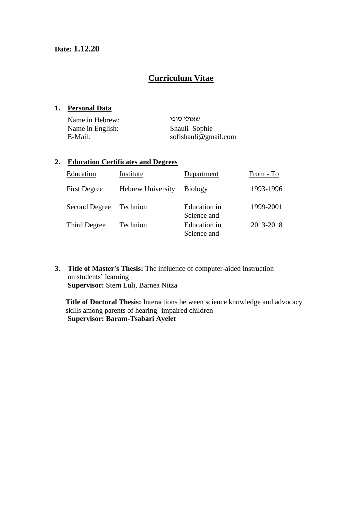# **Curriculum Vitae**

#### **1. Personal Data**

| Name in Hebrew:  | שאולי סופי           |
|------------------|----------------------|
| Name in English: | Shauli Sophie        |
| E-Mail:          | sofishauli@gmail.com |

### **2. Education Certificates and Degrees**

| Education           | Institute                | Department                  | From - To |
|---------------------|--------------------------|-----------------------------|-----------|
| <b>First Degree</b> | <b>Hebrew University</b> | <b>Biology</b>              | 1993-1996 |
| Second Degree       | Technion                 | Education in<br>Science and | 1999-2001 |
| Third Degree        | Technion                 | Education in<br>Science and | 2013-2018 |

**3. Title of Master's Thesis:** The influence of computer-aided instruction on students' learning **Supervisor:** Stern Luli, Barnea Nitza

**Title of Doctoral Thesis:** Interactions between science knowledge and advocacy skills among parents of hearing- impaired children **Supervisor: Baram-Tsabari Ayelet**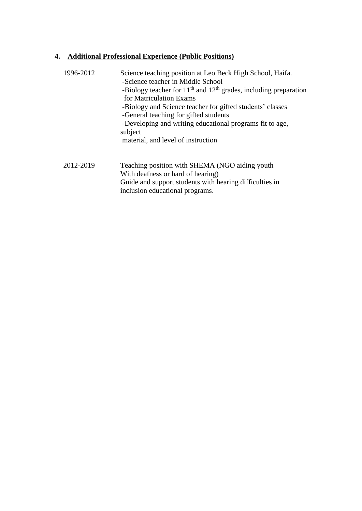## **4. Additional Professional Experience (Public Positions)**

| 1996-2012 | Science teaching position at Leo Beck High School, Haifa.<br>-Science teacher in Middle School<br>-Biology teacher for $11th$ and $12th$ grades, including preparation<br>for Matriculation Exams<br>-Biology and Science teacher for gifted students' classes<br>-General teaching for gifted students<br>-Developing and writing educational programs fit to age,<br>subject<br>material, and level of instruction |
|-----------|----------------------------------------------------------------------------------------------------------------------------------------------------------------------------------------------------------------------------------------------------------------------------------------------------------------------------------------------------------------------------------------------------------------------|
| 2012-2019 | Teaching position with SHEMA (NGO aiding youth<br>With deafness or hard of hearing)<br>Guide and support students with hearing difficulties in<br>inclusion educational programs.                                                                                                                                                                                                                                    |